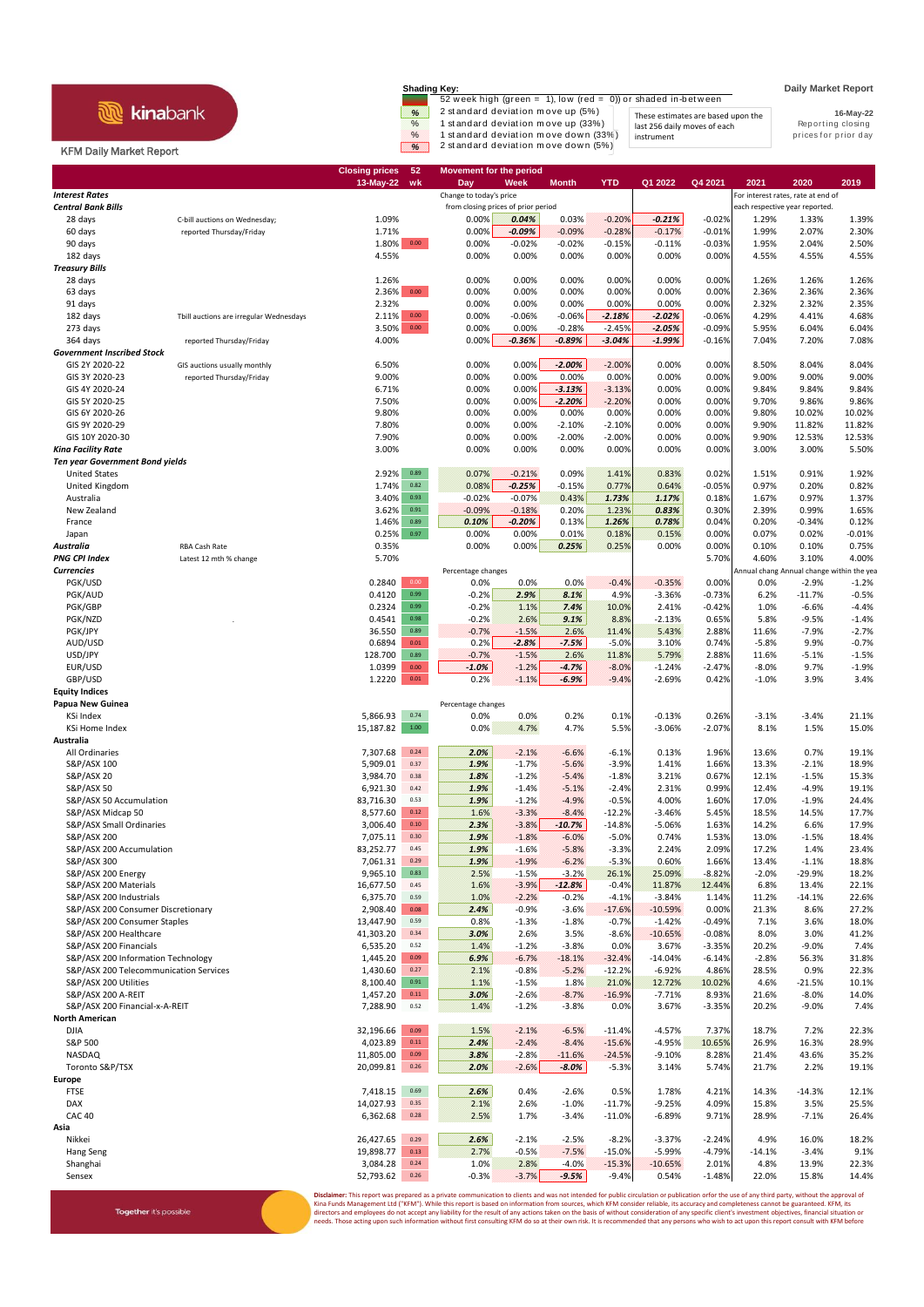## **R** kinabank

Together it's possible

**Shading Key: Daily Market Report**<br>52 week high (green = 1), low (red = 0)) or shaded in-between  $\frac{\%}{\%}$  2 standard deviation move up (5%)<br>
These estimates are based upon the<br>
1 standard deviation move up (33%) last 256 daily moves of each<br>
1 standard deviation move down (5%) instrument by the prices for prior day

instrument

**16-May-22** These estimates are based upon the last 256 daily moves of each

## KFM Daily Market Report

|                                                                    |                                         | <b>Closing prices</b><br>$13-May-22$ | 52<br>wk                            | <b>Movement for the period</b><br>Day | Week               | <b>Month</b>        | <b>YTD</b>           | Q1 2022               | Q4 2021                        | 2021                                      | 2020               | 2019               |
|--------------------------------------------------------------------|-----------------------------------------|--------------------------------------|-------------------------------------|---------------------------------------|--------------------|---------------------|----------------------|-----------------------|--------------------------------|-------------------------------------------|--------------------|--------------------|
| <b>Interest Rates</b>                                              |                                         |                                      |                                     | Change to today's price               |                    |                     |                      |                       |                                | For interest rates, rate at end of        |                    |                    |
| <b>Central Bank Bills</b>                                          |                                         |                                      | from closing prices of prior period |                                       |                    |                     |                      |                       | each respective year reported. |                                           |                    |                    |
| 28 days                                                            | C-bill auctions on Wednesday;           | 1.09%                                |                                     | 0.00%                                 | 0.04%              | 0.03%               | $-0.20%$             | $-0.21%$              | $-0.02%$                       | 1.29%                                     | 1.33%              | 1.39%              |
| 60 days                                                            | reported Thursday/Friday                | 1.71%                                |                                     | 0.00%                                 | $-0.09%$           | $-0.09%$            | $-0.28%$             | $-0.17%$              | $-0.01%$                       | 1.99%                                     | 2.07%              | 2.30%              |
| 90 days                                                            |                                         | 1.80%                                | 0.00                                | 0.00%                                 | $-0.02%$           | $-0.02%$            | $-0.15%$             | $-0.11%$              | $-0.03%$                       | 1.95%                                     | 2.04%              | 2.50%              |
| 182 days<br><b>Treasury Bills</b>                                  |                                         | 4.55%                                |                                     | 0.00%                                 | 0.00%              | 0.00%               | 0.00%                | 0.00%                 | 0.00%                          | 4.55%                                     | 4.55%              | 4.55%              |
| 28 days                                                            |                                         | 1.26%                                |                                     | 0.00%                                 | 0.00%              | 0.00%               | 0.00%                | 0.00%                 | 0.00%                          | 1.26%                                     | 1.26%              | 1.26%              |
| 63 days                                                            |                                         | 2.36%                                | $0.00\,$                            | 0.00%                                 | 0.00%              | 0.00%               | 0.00%                | 0.00%                 | 0.00%                          | 2.36%                                     | 2.36%              | 2.36%              |
| 91 days                                                            |                                         | 2.32%                                |                                     | 0.00%                                 | 0.00%              | 0.00%               | 0.00%                | 0.00%                 | 0.00%                          | 2.32%                                     | 2.32%              | 2.35%              |
| 182 days                                                           | Tbill auctions are irregular Wednesdays | 2.11%                                | 0.00                                | 0.00%                                 | $-0.06%$           | $-0.06%$            | $-2.18%$             | $-2.02%$              | $-0.06%$                       | 4.29%                                     | 4.41%              | 4.68%              |
| 273 days                                                           |                                         | 3.50%                                | $0.00\,$                            | 0.00%                                 | 0.00%              | $-0.28%$            | $-2.45%$             | $-2.05%$              | $-0.09%$                       | 5.95%                                     | 6.04%              | 6.04%              |
| 364 days<br><b>Government Inscribed Stock</b>                      | reported Thursday/Friday                | 4.00%                                |                                     | 0.00%                                 | $-0.36%$           | $-0.89%$            | $-3.04%$             | $-1.99%$              | $-0.16%$                       | 7.04%                                     | 7.20%              | 7.08%              |
| GIS 2Y 2020-22                                                     | GIS auctions usually monthly            | 6.50%                                |                                     | 0.00%                                 | 0.00%              | $-2.00%$            | $-2.00%$             | 0.00%                 | 0.00%                          | 8.50%                                     | 8.04%              | 8.04%              |
| GIS 3Y 2020-23                                                     | reported Thursday/Friday                | 9.00%                                |                                     | 0.00%                                 | 0.00%              | 0.00%               | 0.00%                | 0.00%                 | 0.00%                          | 9.00%                                     | 9.00%              | 9.00%              |
| GIS 4Y 2020-24                                                     |                                         | 6.71%                                |                                     | 0.00%                                 | 0.00%              | $-3.13%$            | $-3.13%$             | 0.00%                 | 0.00%                          | 9.84%                                     | 9.84%              | 9.84%              |
| GIS 5Y 2020-25                                                     |                                         | 7.50%                                |                                     | 0.00%                                 | 0.00%              | $-2.20%$            | $-2.20%$             | 0.00%                 | 0.00%                          | 9.70%                                     | 9.86%              | 9.86%              |
| GIS 6Y 2020-26                                                     |                                         | 9.80%                                |                                     | 0.00%                                 | 0.00%              | 0.00%               | 0.00%                | 0.00%                 | 0.00%                          | 9.80%                                     | 10.02%             | 10.02%             |
| GIS 9Y 2020-29                                                     |                                         | 7.80%                                |                                     | 0.00%                                 | 0.00%              | $-2.10%$            | $-2.10%$             | 0.00%                 | 0.00%                          | 9.90%                                     | 11.82%             | 11.82%             |
| GIS 10Y 2020-30                                                    |                                         | 7.90%<br>3.00%                       |                                     | 0.00%<br>0.00%                        | 0.00%<br>0.00%     | $-2.00%$<br>0.00%   | $-2.00%$<br>0.00%    | 0.00%<br>0.00%        | 0.00%<br>0.00%                 | 9.90%<br>3.00%                            | 12.53%<br>3.00%    | 12.53%<br>5.50%    |
| Kina Facility Rate<br><b>Ten year Government Bond yields</b>       |                                         |                                      |                                     |                                       |                    |                     |                      |                       |                                |                                           |                    |                    |
| <b>United States</b>                                               |                                         | 2.92%                                | 0.89                                | 0.07%                                 | $-0.21%$           | 0.09%               | 1.41%                | 0.83%                 | 0.02%                          | 1.51%                                     | 0.91%              | 1.92%              |
| United Kingdom                                                     |                                         | 1.74%                                | 0.82                                | 0.08%                                 | $-0.25%$           | $-0.15%$            | 0.77%                | 0.64%                 | $-0.05%$                       | 0.97%                                     | 0.20%              | 0.82%              |
| Australia                                                          |                                         | 3.40%                                | 0.93                                | $-0.02%$                              | $-0.07%$           | 0.43%               | 1.73%                | 1.17%                 | 0.18%                          | 1.67%                                     | 0.97%              | 1.37%              |
| New Zealand                                                        |                                         | 3.62%                                | 0.91                                | $-0.09%$                              | $-0.18%$           | 0.20%               | 1.23%                | 0.83%                 | 0.30%                          | 2.39%                                     | 0.99%              | 1.65%              |
| France                                                             |                                         | 1.46%                                | 0.89                                | 0.10%                                 | $-0.20%$           | 0.13%               | 1.26%                | 0.78%                 | 0.04%                          | 0.20%                                     | $-0.34%$           | 0.12%              |
| Japan<br>Australia                                                 | <b>RBA Cash Rate</b>                    | 0.25%<br>0.35%                       | 0.97                                | 0.00%<br>0.00%                        | 0.00%<br>0.00%     | 0.01%<br>0.25%      | 0.18%<br>0.25%       | 0.15%<br>0.00%        | 0.00%<br>0.00%                 | 0.07%<br>0.10%                            | 0.02%<br>0.10%     | $-0.01%$<br>0.75%  |
| <b>PNG CPI Index</b>                                               | Latest 12 mth % change                  | 5.70%                                |                                     |                                       |                    |                     |                      |                       | 5.70%                          | 4.60%                                     | 3.10%              | 4.00%              |
| <b>Currencies</b>                                                  |                                         |                                      |                                     | Percentage changes                    |                    |                     |                      |                       |                                | Annual chang Annual change within the yea |                    |                    |
| PGK/USD                                                            |                                         | 0.2840                               | 0.00                                | 0.0%                                  | 0.0%               | 0.0%                | $-0.4%$              | $-0.35%$              | 0.00%                          | 0.0%                                      | $-2.9%$            | $-1.2%$            |
| PGK/AUD                                                            |                                         | 0.4120                               | 0.99                                | $-0.2%$                               | 2.9%               | 8.1%                | 4.9%                 | $-3.36%$              | $-0.73%$                       | 6.2%                                      | $-11.7%$           | $-0.5%$            |
| PGK/GBP                                                            |                                         | 0.2324                               | 0.99                                | $-0.2%$                               | 1.1%               | 7.4%                | 10.0%                | 2.41%                 | $-0.42%$                       | 1.0%                                      | $-6.6%$            | $-4.4%$            |
| PGK/NZD                                                            |                                         | 0.4541                               | 0.98<br>0.89                        | $-0.2%$                               | 2.6%               | 9.1%                | 8.8%<br>11.4%        | $-2.13%$              | 0.65%                          | 5.8%                                      | $-9.5%$            | $-1.4%$            |
| PGK/JPY<br>AUD/USD                                                 |                                         | 36.550<br>0.6894                     | 0.01                                | $-0.7%$<br>0.2%                       | $-1.5%$<br>$-2.8%$ | 2.6%<br>$-7.5%$     | $-5.0%$              | 5.43%<br>3.10%        | 2.88%<br>0.74%                 | 11.6%<br>$-5.8%$                          | $-7.9%$<br>9.9%    | $-2.7%$<br>$-0.7%$ |
| USD/JPY                                                            |                                         | 128.700                              | 0.89                                | $-0.7%$                               | $-1.5%$            | 2.6%                | 11.8%                | 5.79%                 | 2.88%                          | 11.6%                                     | $-5.1%$            | $-1.5%$            |
| EUR/USD                                                            |                                         | 1.0399                               | 0.00                                | $-1.0\%$                              | $-1.2%$            | $-4.7%$             | $-8.0%$              | $-1.24%$              | $-2.47%$                       | $-8.0%$                                   | 9.7%               | $-1.9%$            |
| GBP/USD                                                            |                                         | 1.2220                               | 0.01                                | 0.2%                                  | $-1.1%$            | $-6.9%$             | $-9.4%$              | $-2.69%$              | 0.42%                          | $-1.0%$                                   | 3.9%               | 3.4%               |
| <b>Equity Indices</b>                                              |                                         |                                      |                                     |                                       |                    |                     |                      |                       |                                |                                           |                    |                    |
| Papua New Guinea                                                   |                                         |                                      |                                     | Percentage changes                    |                    |                     |                      |                       |                                |                                           |                    |                    |
| KSi Index<br><b>KSi Home Index</b>                                 |                                         | 5,866.93<br>15,187.82                | 0.74<br>$1.00\,$                    | 0.0%<br>0.0%                          | 0.0%<br>4.7%       | 0.2%<br>4.7%        | 0.1%<br>5.5%         | $-0.13%$<br>$-3.06%$  | 0.26%<br>$-2.07%$              | $-3.1%$<br>8.1%                           | $-3.4%$<br>1.5%    | 21.1%<br>15.0%     |
| Australia                                                          |                                         |                                      |                                     |                                       |                    |                     |                      |                       |                                |                                           |                    |                    |
| All Ordinaries                                                     |                                         | 7,307.68                             | 0.24                                | 2.0%                                  | $-2.1%$            | $-6.6%$             | $-6.1%$              | 0.13%                 | 1.96%                          | 13.6%                                     | 0.7%               | 19.1%              |
| S&P/ASX 100                                                        |                                         | 5,909.01                             | 0.37                                | 1.9%                                  | $-1.7%$            | $-5.6%$             | $-3.9%$              | 1.41%                 | 1.66%                          | 13.3%                                     | $-2.1%$            | 18.9%              |
| S&P/ASX 20                                                         |                                         | 3,984.70                             | 0.38                                | 1.8%                                  | $-1.2%$            | $-5.4%$             | $-1.8%$              | 3.21%                 | 0.67%                          | 12.1%                                     | $-1.5%$            | 15.3%              |
| <b>S&amp;P/ASX 50</b>                                              |                                         | 6,921.30                             | 0.42                                | 1.9%                                  | $-1.4%$            | $-5.1%$             | $-2.4%$              | 2.31%                 | 0.99%                          | 12.4%                                     | $-4.9%$            | 19.1%              |
| S&P/ASX 50 Accumulation                                            |                                         | 83,716.30                            | 0.53<br>0.12                        | 1.9%                                  | $-1.2%$            | $-4.9%$             | $-0.5%$              | 4.00%                 | 1.60%                          | 17.0%                                     | $-1.9%$            | 24.4%              |
| S&P/ASX Midcap 50<br>S&P/ASX Small Ordinaries                      |                                         | 8,577.60<br>3,006.40                 | $0.10\,$                            | 1.6%<br>2.3%                          | $-3.3%$<br>$-3.8%$ | $-8.4%$<br>$-10.7%$ | $-12.2%$<br>$-14.8%$ | $-3.46%$<br>$-5.06%$  | 5.45%<br>1.63%                 | 18.5%<br>14.2%                            | 14.5%<br>6.6%      | 17.7%<br>17.9%     |
| S&P/ASX 200                                                        |                                         | 7,075.11                             | 0.30                                | 1.9%                                  | $-1.8%$            | $-6.0%$             | $-5.0%$              | 0.74%                 | 1.53%                          | 13.0%                                     | $-1.5%$            | 18.4%              |
| S&P/ASX 200 Accumulation                                           |                                         | 83,252.77                            | 0.45                                | 1.9%                                  | $-1.6%$            | $-5.8%$             | $-3.3%$              | 2.24%                 | 2.09%                          | 17.2%                                     | 1.4%               | 23.4%              |
| S&P/ASX 300                                                        |                                         | 7,061.31                             | 0.29                                | 1.9%                                  | $-1.9%$            | $-6.2%$             | $-5.3%$              | 0.60%                 | 1.66%                          | 13.4%                                     | $-1.1%$            | 18.8%              |
| S&P/ASX 200 Energy                                                 |                                         | 9,965.10                             | 0.83                                | 2.5%                                  | $-1.5%$            | $-3.2%$             | 26.1%                | 25.09%                | $-8.82%$                       | $-2.0%$                                   | $-29.9%$           | 18.2%              |
| S&P/ASX 200 Materials                                              |                                         | 16,677.50                            | 0.45                                | 1.6%                                  | $-3.9%$            | $-12.8%$            | $-0.4%$              | 11.87%                | 12.44%                         | 6.8%                                      | 13.4%              | 22.1%              |
| S&P/ASX 200 Industrials                                            |                                         | 6,375.70                             | 0.59<br>0.08                        | 1.0%                                  | $-2.2%$            | $-0.2%$             | $-4.1%$              | $-3.84%$              | 1.14%<br>0.00%                 | 11.2%                                     | $-14.1%$           | 22.6%              |
| S&P/ASX 200 Consumer Discretionary<br>S&P/ASX 200 Consumer Staples |                                         | 2,908.40<br>13,447.90                | 0.59                                | 2.4%<br>0.8%                          | $-0.9%$<br>$-1.3%$ | $-3.6%$<br>$-1.8%$  | $-17.6%$<br>$-0.7%$  | $-10.59%$<br>$-1.42%$ | $-0.49%$                       | 21.3%<br>7.1%                             | 8.6%<br>3.6%       | 27.2%<br>18.0%     |
| S&P/ASX 200 Healthcare                                             |                                         | 41,303.20                            | 0.34                                | 3.0%                                  | 2.6%               | 3.5%                | $-8.6%$              | $-10.65%$             | $-0.08%$                       | 8.0%                                      | 3.0%               | 41.2%              |
| S&P/ASX 200 Financials                                             |                                         | 6,535.20                             | 0.52                                | 1.4%                                  | $-1.2%$            | $-3.8%$             | 0.0%                 | 3.67%                 | $-3.35%$                       | 20.2%                                     | $-9.0%$            | 7.4%               |
| S&P/ASX 200 Information Technology                                 |                                         | 1,445.20                             | 0.09                                | 6.9%                                  | $-6.7%$            | $-18.1%$            | $-32.4%$             | $-14.04%$             | $-6.14%$                       | $-2.8%$                                   | 56.3%              | 31.8%              |
| S&P/ASX 200 Telecommunication Services                             |                                         | 1,430.60                             | 0.27                                | 2.1%                                  | $-0.8%$            | $-5.2%$             | $-12.2%$             | $-6.92%$              | 4.86%                          | 28.5%                                     | 0.9%               | 22.3%              |
| S&P/ASX 200 Utilities                                              |                                         | 8,100.40                             | 0.91                                | 1.1%                                  | $-1.5%$            | 1.8%                | 21.0%                | 12.72%                | 10.02%                         | 4.6%                                      | $-21.5%$           | 10.1%              |
| S&P/ASX 200 A-REIT<br>S&P/ASX 200 Financial-x-A-REIT               |                                         | 1,457.20<br>7,288.90                 | $0.11\,$<br>0.52                    | 3.0%<br>1.4%                          | $-2.6%$<br>$-1.2%$ | $-8.7%$<br>$-3.8%$  | $-16.9%$<br>0.0%     | $-7.71%$<br>3.67%     | 8.93%<br>$-3.35%$              | 21.6%<br>20.2%                            | $-8.0%$<br>$-9.0%$ | 14.0%<br>7.4%      |
| <b>North American</b>                                              |                                         |                                      |                                     |                                       |                    |                     |                      |                       |                                |                                           |                    |                    |
| <b>DJIA</b>                                                        |                                         | 32,196.66                            | 0.09                                | 1.5%                                  | $-2.1%$            | $-6.5%$             | $-11.4%$             | $-4.57%$              | 7.37%                          | 18.7%                                     | 7.2%               | 22.3%              |
| S&P 500                                                            |                                         | 4,023.89                             | 0.11                                | 2.4%                                  | $-2.4%$            | $-8.4%$             | $-15.6%$             | $-4.95%$              | 10.65%                         | 26.9%                                     | 16.3%              | 28.9%              |
| NASDAQ                                                             |                                         | 11,805.00                            | 0.09                                | 3.8%                                  | $-2.8%$            | $-11.6%$            | $-24.5%$             | $-9.10%$              | 8.28%                          | 21.4%                                     | 43.6%              | 35.2%              |
| Toronto S&P/TSX                                                    |                                         | 20,099.81                            | 0.26                                | 2.0%                                  | $-2.6%$            | $-8.0\%$            | $-5.3%$              | 3.14%                 | 5.74%                          | 21.7%                                     | 2.2%               | 19.1%              |
| Europe                                                             |                                         |                                      |                                     |                                       |                    |                     |                      |                       |                                |                                           |                    |                    |
| <b>FTSE</b><br>DAX                                                 |                                         | 7,418.15<br>14,027.93                | 0.69<br>0.35                        | 2.6%<br>2.1%                          | 0.4%<br>2.6%       | $-2.6%$<br>$-1.0%$  | 0.5%<br>$-11.7%$     | 1.78%<br>$-9.25%$     | 4.21%<br>4.09%                 | 14.3%<br>15.8%                            | $-14.3%$<br>3.5%   | 12.1%<br>25.5%     |
| <b>CAC 40</b>                                                      |                                         | 6,362.68                             | 0.28                                | 2.5%                                  | 1.7%               | $-3.4%$             | $-11.0%$             | $-6.89%$              | 9.71%                          | 28.9%                                     | $-7.1%$            | 26.4%              |
| Asia                                                               |                                         |                                      |                                     |                                       |                    |                     |                      |                       |                                |                                           |                    |                    |
| Nikkei                                                             |                                         | 26,427.65                            | 0.29                                | 2.6%                                  | $-2.1%$            | $-2.5%$             | $-8.2%$              | $-3.37%$              | $-2.24%$                       | 4.9%                                      | 16.0%              | 18.2%              |
| Hang Seng                                                          |                                         | 19,898.77                            | 0.13                                | 2.7%                                  | $-0.5%$            | $-7.5%$             | $-15.0%$             | $-5.99%$              | $-4.79%$                       | $-14.1%$                                  | $-3.4%$            | 9.1%               |
| Shanghai                                                           |                                         | 3,084.28                             | 0.24                                | 1.0%                                  | 2.8%               | $-4.0%$             | $-15.3%$             | $-10.65%$             | 2.01%                          | 4.8%                                      | 13.9%              | 22.3%              |
| Sensex                                                             |                                         | 52,793.62                            | 0.26                                | $-0.3%$                               | $-3.7%$            | $-9.5%$             | $-9.4%$              | 0.54%                 | $-1.48%$                       | 22.0%                                     | 15.8%              | 14.4%              |

**Disclaimer**: This report was prepared as a private communication to clients and was not intended for public circulation or publication orfor the use of any third party, without the approval of<br>Kina Funds Management Ltd ("